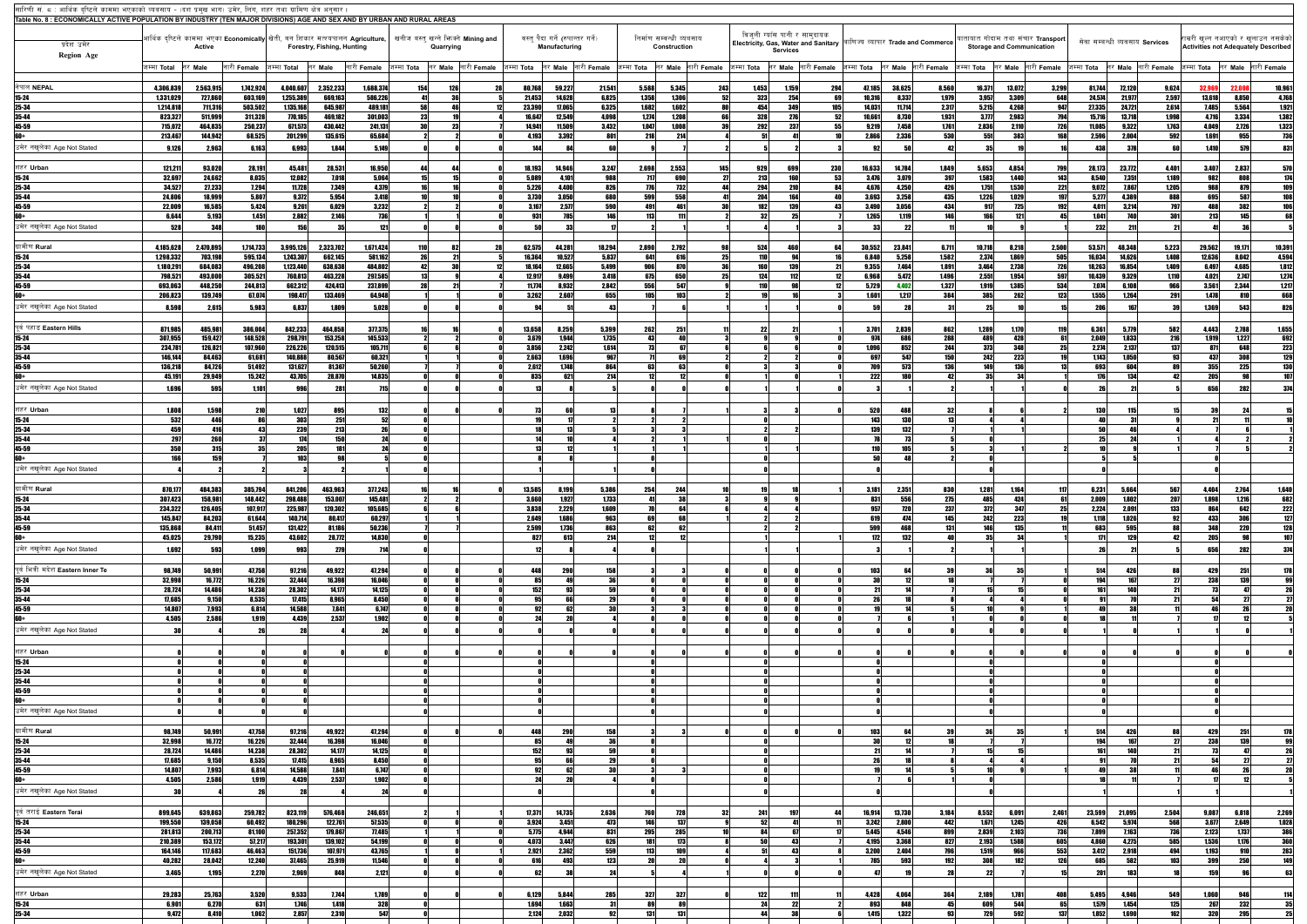| सारिणी सं. ८ : आर्थिक दष्टिले काममा भएकाको व्यवसाय - (दश प्रमख भाग) उमेर, लिंग, शहर तथा ग्रामिण क्षेत्र अनुसार<br>Table No. 8 : ECONOMICALLY ACTIVE POPULATION BY INDUSTRY (TEN MAJOR DIVISIONS) AGE AND SEX AND BY URBAN AND RURAL AREAS |                        |                    |                     |                        |                            |                    |                                                                                                                                         |             |                       |                                                    |                    |                          |                   |                     |                                                                                               |                                           |                                  |                                    |                                                                       |                |                     |                                |                    |                |                                                                                   |                     |                                                  |
|-------------------------------------------------------------------------------------------------------------------------------------------------------------------------------------------------------------------------------------------|------------------------|--------------------|---------------------|------------------------|----------------------------|--------------------|-----------------------------------------------------------------------------------------------------------------------------------------|-------------|-----------------------|----------------------------------------------------|--------------------|--------------------------|-------------------|---------------------|-----------------------------------------------------------------------------------------------|-------------------------------------------|----------------------------------|------------------------------------|-----------------------------------------------------------------------|----------------|---------------------|--------------------------------|--------------------|----------------|-----------------------------------------------------------------------------------|---------------------|--------------------------------------------------|
| प्रदेश उमेर                                                                                                                                                                                                                               |                        | <b>Active</b>      |                     |                        | Forestry, Fishing, Hunting |                    | आर्थिक दृष्टिले काममा भएका Economically $ $ खेती, वन शिकार मत्श्यपालन Agriculture, $ $ खनीज बस्तु खन्ने भिनक्ने Mining and<br>Quarrying |             |                       | वस्त् पैदा गर्ने (रुपान्तर गर्ने)<br>Manufacturing |                    | निर्माण सम्वन्धी व्यबसाय | Construction      |                     | विजली ग्याँस पानी र सामदायक<br><b>Electricity, Gas, Water and Sanitary</b><br><b>Services</b> |                                           |                                  | बाणिज्य व्यापार Trade and Commerce | यातायात गोदाम तथा संचार Transport<br><b>Storage and Communication</b> |                |                     | सेवा सम्बन्धी व्यवसाय Services |                    |                | राम्ररी खुल्न नआएको र खुलाउन नसकेको<br><b>Activities not Adequately Described</b> |                     |                                                  |
| <b>Region Age</b>                                                                                                                                                                                                                         | जम्मा <b>Total</b>     | <b>Male</b>        | नारी Female         | जम्मा <b>Total</b>     | नर Male                    | नारी <b>Female</b> | जम्मा <b>Tota</b><br>नर Male                                                                                                            | नारी Female | जम्मा <b>Tota</b>     |                                                    | र Male नारी Female | जम्मा <b>Tota</b>        |                   | नर Male नारी Female | जम्मा <b>Tota</b>                                                                             | निर Male नारी Female जिम्मा Tota तिर Male |                                  | <mark>. नारी Female</mark>         | जम्मा Tota तिर Male नारी Female                                       |                |                     | जम्मा Tota                     | र Male नारी Female |                | जम्मा <b>Tota</b>                                                                 | नर Male नारी Female |                                                  |
| नेपाल NEPAL                                                                                                                                                                                                                               | 4,306,839              | 2,563,915          | 1,742,924           | 4,040,607              | 2,352,233                  | 1,688,374          | 126<br><b>154</b>                                                                                                                       | 28          | 80,768                | 59,227                                             | 21,541             | 5,588                    | 5,345             | 243                 | 1,453<br>1,159                                                                                | 294                                       | 47,185<br>38,625                 | 8,560                              | 16,371                                                                | 13,072         | 3,299               | 81,744                         | 72,120             | 9,624          | 32,96                                                                             | 22,008              | 10,961                                           |
| $15 - 24$                                                                                                                                                                                                                                 | 1,331,029<br>1,214,818 | 727,860<br>711,316 | 603,169<br>503,502  | 1,255,389<br>1,135,168 | 669,163<br>645,987         | 586,226<br>489,181 | -31<br>58                                                                                                                               |             | 21,453<br>23,390      | 14,628<br>17,065                                   | 6,825<br>6,325     | 1,358<br>1,682           | 1,306<br>1.602    | 52<br>8N            | 323<br>254<br>454<br>349                                                                      | 105                                       | 10,316<br>14,031                 | 1,979<br>8,337<br>2,317<br>11,714  | 3,957<br>5,215                                                        | 3,309<br>4,268 | 648<br>947          | 24,574<br>27,335               | 21,977<br>24,721   | 2,597<br>2,614 | 13,618<br>7,485                                                                   | 8,850<br>5,564      | 4,768<br>4,768<br>1,921<br>1,382<br>1,323<br>736 |
| 25-34<br>35-44                                                                                                                                                                                                                            | 823,327                | 511,999            | 311,328             | 770,185                | 469,182                    | 301,003            | 23                                                                                                                                      |             | 16.647                | 12,549                                             | 4,098              | 1.274                    | 1,208             | <b>GG</b>           | 328<br>276                                                                                    |                                           | 10.661                           | 1,931<br>8,730                     | 3,777                                                                 | 2,983          | 794                 | 15,716                         | 13,718             | 1,998          | 4,716                                                                             | 3,334               |                                                  |
| 45-59                                                                                                                                                                                                                                     | 715,072                | 464,835            | 250,237             | 671,573                | 430,442                    | 241,131            | onl                                                                                                                                     |             | 14,941                | 11,509                                             | 3,432              | 1.047                    | 1.008             | 30                  | 237<br>292                                                                                    |                                           | 9.219                            | 1,761<br>7.458                     | 2,836                                                                 | 2,110          | 726<br>168          | 11,085                         | 9,322              | 1,763          | 4.04                                                                              | 2,726               |                                                  |
| 60+<br>उमेर नखलेका Age Not Stated                                                                                                                                                                                                         | 213,467<br>9,126       | 144,942<br>2,963   | 68,525<br>6,163     | 201,299<br>6.993       | 135,615<br>1.844           | 65,684<br>5,149    |                                                                                                                                         |             | 4,193<br>144          | 3,392                                              |                    | 218                      | 214               |                     |                                                                                               |                                           | 2,866                            | <b>530</b><br>2.336                | 551                                                                   | 383            |                     | 2,596<br>438                   | 2.004<br>378       | 592            | 1.691<br>1.410                                                                    | 955<br>57           | 831                                              |
|                                                                                                                                                                                                                                           |                        |                    |                     |                        |                            |                    |                                                                                                                                         |             |                       |                                                    |                    |                          |                   |                     |                                                                                               |                                           |                                  |                                    |                                                                       |                |                     |                                |                    |                |                                                                                   |                     |                                                  |
| शहर Urban                                                                                                                                                                                                                                 | 121,211                | 93,020             | 28,191              | 45,481                 | 28,531                     | 16,950             |                                                                                                                                         |             | 18,193                | 14,946                                             | 3,247              | 2,698                    | 2,553             | 145                 | 929<br>699                                                                                    | 230                                       | 16,633<br>14,784                 | 1,849                              | 5,653                                                                 | 4,854          | 799                 | 28,173                         | 23,772             | 4,401          | 3,407                                                                             | 2,837               | 570                                              |
| $15 - 24$<br>$25 - 34$                                                                                                                                                                                                                    | 32,697<br>34,527       | 24,662<br>27,233   | 8,035<br>7,294      | 12,082<br>11,728       | 7,018<br>7,349             | 5,064<br>4,379     |                                                                                                                                         |             | 5,089<br>5,226        | 4,101<br>4,400                                     | 988<br>826         | 717<br>776               | <b>GQN</b><br>732 | -27<br>М            | 213<br>160<br>294<br>210                                                                      | 53<br>ΩÆ                                  | 3,476<br>4.676                   | 397<br>3,079<br>426<br>4,250       | 1,583<br>1,751                                                        | 1,440<br>1,530 | 143<br>221          | 8,540<br>9,072                 | 7,351<br>7,867     | 1,189<br>1,205 | 982<br>98                                                                         | 808<br>879          |                                                  |
| 35-44                                                                                                                                                                                                                                     | 24,806                 | 18,999             | 5,807               | 9,372                  | 5,954                      | 3,418              |                                                                                                                                         |             | 3,730                 | 3,050                                              | 680                | 599                      | 558 <sup> </sup>  |                     | 204                                                                                           | <b>164</b>                                | 3.693                            | 435<br>3,258                       | 1,226                                                                 | 1,029          | 197                 | 5,277                          | 4.389              | 888            | 695                                                                               | 587                 |                                                  |
| 45-59                                                                                                                                                                                                                                     | 22,009                 | 16,585             | 5,424               | 9,261                  | 6.029                      | 3,232              |                                                                                                                                         |             | 3,167                 | 2,577                                              | 590                |                          |                   |                     | 130                                                                                           |                                           | 3.490                            | 434<br>3,056                       |                                                                       | 725            | 102                 | 4,011                          | 3.214              | 797            | ARI                                                                               | 382                 |                                                  |
| 60+<br>उमेर नखुलेका Age Not Stated                                                                                                                                                                                                        | 6,644<br>528           | 5.193              | 1,451<br>180        | 2,882                  | 2,146                      | 736<br>121         |                                                                                                                                         |             | 931                   | 78                                                 |                    |                          |                   |                     |                                                                                               |                                           | 1,265<br>33                      | <b>146</b><br>1119                 |                                                                       | 121            |                     | 1,041<br>232                   | <b>740</b>         | 301            | 213                                                                               | 145                 |                                                  |
|                                                                                                                                                                                                                                           |                        |                    |                     |                        |                            |                    |                                                                                                                                         |             |                       |                                                    |                    |                          |                   |                     |                                                                                               |                                           |                                  |                                    |                                                                       |                |                     |                                |                    |                |                                                                                   |                     |                                                  |
| ग्रामीण Rural                                                                                                                                                                                                                             | 4,185,628              | 2,470,895          | 1,714,733           | 3,995,126              | 2,323,702                  | 1,671,424          |                                                                                                                                         | 28          | 62,575                | 44,28                                              | 18,294             | 2.890                    | 2,792             |                     | 524                                                                                           |                                           | 23,841<br>30.552                 | 6,711                              | 10,718                                                                | 8,218          | 2,500               | 53,571                         | 48,348             | 5,223          | 29,562                                                                            | 19,171              | 10,391                                           |
| $15 - 24$<br>25-34                                                                                                                                                                                                                        | 1,298,332<br>1,180,291 | 703,198<br>684,083 | 595,134<br>496,208  | 1,243,307<br>1,123,440 | 662,145<br>638,638         | 581,162<br>484,802 | 42                                                                                                                                      |             | 16,364<br>18,164      | 10,527<br>12,665                                   | 5,837<br>5.499     | 6Æ                       | 616<br>870        | 25                  | 139                                                                                           |                                           | 6.840<br>9.355                   | 1,582<br>5,258<br>1,891<br>7.464   | 2,374<br>3,464                                                        | 1,869<br>2,738 | 505  <br><b>726</b> | 16,034<br>18,263               | 14.626<br>16.854   | 1,408<br>1,409 | 12,636<br>6.49                                                                    | 8,042<br>4,685      | 4,594<br>1,812                                   |
| 35-44                                                                                                                                                                                                                                     | 798,521                | 493,000            | 305,521             | 760,813                | 463,228                    | 297,585            |                                                                                                                                         |             | 12,917                | 9,499                                              | 3.418              | 675                      | 650               |                     | 124<br>112                                                                                    |                                           | 6.968                            | 1,496<br>5.472                     | 2,551                                                                 | 1,954          | 597                 | 10,439                         | 9.329              | 1,110          | 4.021                                                                             | 2,747               | 1,274                                            |
| 45-59                                                                                                                                                                                                                                     | 693,063                | 448,250            | 244,813             | 662,312                | 424,413                    | 237,899            |                                                                                                                                         |             | 11,774                | 8,932                                              | 2,842              | 556                      | 547               |                     |                                                                                               |                                           | 5,729                            | 1,327<br>4.402                     | 1,919                                                                 | 1,385          | 534                 | 7,074                          | 6.108              | 966            | 3,561                                                                             | 2,344               | 1,217                                            |
| 60+<br>उमेर नखलेका Age Not Stated                                                                                                                                                                                                         | 206,823                | 139,749            | 67,074              | 198,417                | 133,469                    | 64,948<br>5,028    |                                                                                                                                         |             | 3,262                 | 2,607                                              | 655                | 105                      | 103               |                     |                                                                                               |                                           | 1,601                            | 384<br>1.217                       | <b>385</b>                                                            | 262            | 123                 | 1,555                          | 1,264              | 291            | 1,478                                                                             | 810<br>543          | 668                                              |
|                                                                                                                                                                                                                                           | 8,598                  | 2,615              | 5,983               | 6,837                  | 1.809                      |                    |                                                                                                                                         |             |                       |                                                    |                    |                          |                   |                     |                                                                                               |                                           |                                  |                                    |                                                                       |                |                     |                                |                    |                | 136                                                                               |                     | 826                                              |
| पूर्व पहाड Eastern Hills                                                                                                                                                                                                                  | 871,985                | 485,98             | 386,004             | 842,233                | 464,858                    | 377,375            |                                                                                                                                         |             | 13,658                | 8,259                                              | 5,399              | 262                      | 251               |                     | 22                                                                                            |                                           | 3,701                            | 2,839<br>862                       | 1,289                                                                 | 1,170          | 119                 | 6,361                          | 5,779              | 582            | 4,443                                                                             | 2,788               |                                                  |
| $15 - 24$                                                                                                                                                                                                                                 | 307,955                | 159,427            | 148,528             | 298,791                | 153,258                    | 145,533            |                                                                                                                                         |             | 3,679<br><b>2 856</b> | 1,944                                              | 1,735<br>1614      | 43                       | anl<br>G7         |                     |                                                                                               |                                           | 974<br>ann t                     | 288<br>686<br>200<br>852           | 489<br><b>272</b>                                                     | 428<br>348     | 61                  | 2,049                          | 1,833              | 216<br>127     | 1,919<br>Q71                                                                      | 1,227<br><b>GAR</b> | $\frac{1,655}{692}$                              |
| $25 - 34$<br><b>35-44</b>                                                                                                                                                                                                                 | 234,781<br>146,144     | 126,821<br>84,463  | 107,960<br>61,681   | 226,226<br>140,888     | 120,515<br>80,567          | 105,711<br>60,321  |                                                                                                                                         |             | 2,663                 | 2,242<br>1,696                                     | 967                |                          |                   |                     |                                                                                               |                                           | 697                              | <b>150</b><br>547                  | 242                                                                   | V4V<br>223     |                     | 2,274<br>1.143                 | 2,137<br>1,050     |                | 437                                                                               | 308                 |                                                  |
| $45 - 59$                                                                                                                                                                                                                                 | 136,218                | 84,726             | 51,492              | 131,627                | 81,367                     | 50,260             |                                                                                                                                         |             | 2.612                 | 1,748                                              | <b>RG4</b>         |                          |                   |                     |                                                                                               |                                           |                                  | <b>136</b><br>573                  | 149                                                                   | 136            |                     | 693                            | 604                |                | 355                                                                               | 225                 |                                                  |
| fina                                                                                                                                                                                                                                      | 45,191                 | 29,949             | 15,242              | 43,705                 | 28,870                     | 14,835             |                                                                                                                                         |             | 835                   |                                                    | 214                |                          |                   |                     |                                                                                               |                                           | 222                              | 180                                |                                                                       |                |                     | <b>17G</b>                     | 134                |                | 205                                                                               |                     |                                                  |
| उमेर नखुलेका Age Not Stated                                                                                                                                                                                                               | 1,696                  |                    | 1.101               |                        |                            |                    |                                                                                                                                         |             |                       |                                                    |                    |                          |                   |                     |                                                                                               |                                           |                                  |                                    |                                                                       |                |                     |                                |                    |                | 656                                                                               |                     |                                                  |
| शहर Urban                                                                                                                                                                                                                                 | 1,808                  | 1,598              | <b>210</b>          | 1,027                  | 895                        | 132                |                                                                                                                                         |             |                       |                                                    |                    |                          |                   |                     |                                                                                               |                                           | 520                              | 4881<br>-32                        |                                                                       |                |                     | <b>130</b>                     |                    |                |                                                                                   |                     |                                                  |
| 15-24<br>25-34<br>35-44<br>45-59                                                                                                                                                                                                          | 532                    |                    |                     | 303                    |                            | 52                 |                                                                                                                                         |             |                       |                                                    |                    |                          |                   |                     |                                                                                               |                                           | 143                              | 130                                |                                                                       |                |                     |                                |                    |                |                                                                                   |                     |                                                  |
|                                                                                                                                                                                                                                           | 459<br>29              | 416                |                     | 239                    | 213                        |                    |                                                                                                                                         |             |                       |                                                    |                    |                          |                   |                     |                                                                                               |                                           |                                  | 132                                |                                                                       |                |                     |                                |                    |                |                                                                                   |                     |                                                  |
|                                                                                                                                                                                                                                           | 350                    | 315                |                     | 205                    |                            |                    |                                                                                                                                         |             | 13                    |                                                    |                    |                          |                   |                     |                                                                                               |                                           | 110                              |                                    |                                                                       |                |                     |                                |                    |                |                                                                                   |                     |                                                  |
| 60+<br>उमेर नखुलेका Age Not Stated                                                                                                                                                                                                        |                        |                    |                     | 103                    |                            |                    |                                                                                                                                         |             |                       |                                                    |                    |                          |                   |                     |                                                                                               |                                           |                                  |                                    |                                                                       |                |                     |                                |                    |                |                                                                                   |                     |                                                  |
|                                                                                                                                                                                                                                           |                        |                    |                     |                        |                            |                    |                                                                                                                                         |             |                       |                                                    |                    |                          |                   |                     |                                                                                               |                                           |                                  |                                    |                                                                       |                |                     |                                |                    |                |                                                                                   |                     |                                                  |
| ग्रामीण <b>Rural</b>                                                                                                                                                                                                                      | 870,177                | 484,383            | 385,794             | 841,206                | 463,963                    | 377,243            |                                                                                                                                         |             | 13,585                | 8,199                                              | 5,386              | 254                      | 24                |                     |                                                                                               |                                           | 3,181                            | 2,351<br>830                       | 1,281                                                                 | 1.164          |                     | 6,231                          | 5.664              | 56             | 4,404                                                                             | 2,764               | 1,640                                            |
| <u>15-24</u><br>25-34                                                                                                                                                                                                                     | 307,423<br>234,322     | 158,981<br>126,405 | 148,442<br>107,917  | 298,488<br>225,987     | 153,007<br>120,302         | 145,481<br>105,685 |                                                                                                                                         |             | 3,660<br>3,838        | 1,927<br>2,229                                     | 1,733<br>1.609     |                          |                   |                     |                                                                                               |                                           | 831                              | 275<br>237                         | 372                                                                   | 424<br>347     |                     | 2,009<br>2.224                 | 1.802<br>2.091     | 207<br>133     |                                                                                   |                     | 222                                              |
| <b>35-44</b>                                                                                                                                                                                                                              | 145,847                | 84,203             | 61,644              | 140,714                | 80.417                     | 60,297             |                                                                                                                                         |             | 2,649                 | 1,686                                              | 963                |                          |                   |                     |                                                                                               |                                           |                                  | <b>145</b>                         |                                                                       | 223            |                     | 1.118                          | 1.026              |                | 433                                                                               |                     |                                                  |
| 45-59<br>60+                                                                                                                                                                                                                              | 135,868<br>45,025      | 84,411<br>29,790   | 51,457<br>15,235    | 131,422<br>43,602      | 81,186<br>28,772           | 50,236<br>14,830   |                                                                                                                                         |             | 2,599<br>827          | 1,736<br>613                                       | 863<br>214         |                          |                   |                     |                                                                                               |                                           | 599<br>172                       | 132                                |                                                                       | 135            |                     | 171                            | 595<br>129         |                | 205                                                                               |                     |                                                  |
| उमेर नखुलेका Age Not Stated                                                                                                                                                                                                               | 1,692                  | 593                | 1,099               | 993                    | 279                        |                    |                                                                                                                                         |             |                       |                                                    |                    |                          |                   |                     |                                                                                               |                                           |                                  |                                    |                                                                       |                |                     |                                |                    |                | 656                                                                               | 282                 |                                                  |
|                                                                                                                                                                                                                                           |                        |                    |                     |                        |                            |                    |                                                                                                                                         |             |                       |                                                    |                    |                          |                   |                     |                                                                                               |                                           |                                  |                                    |                                                                       |                |                     |                                |                    |                |                                                                                   |                     |                                                  |
| पूर्व भित्री मदेश Eastern Inner Te                                                                                                                                                                                                        | 98,749                 | 50,991             | 47,758              | 97,216                 | 49,922                     | 47,294             |                                                                                                                                         |             | 448                   | 290                                                | 158                |                          |                   |                     |                                                                                               |                                           | <b>103</b>                       | 39                                 |                                                                       |                |                     | 514                            | 426<br>167         |                | 429                                                                               | 251                 |                                                  |
| $15 - 24$<br>$25 - 34$                                                                                                                                                                                                                    | 32,998<br>28,724       | 16,772<br>14,486   | 16,226<br>14,238    | 32,444<br>28,302       | 16,398<br>14,177           | 16,046<br>14,125   |                                                                                                                                         |             | 152                   |                                                    |                    |                          |                   |                     |                                                                                               |                                           | 30                               |                                    |                                                                       |                |                     | 194<br>161                     | 140                |                | 238                                                                               | 139                 |                                                  |
| 35-44                                                                                                                                                                                                                                     | 17,685                 | 9,150              | 8,535               | 17,415                 | 8,965                      | 8,450              |                                                                                                                                         |             |                       |                                                    |                    |                          |                   |                     |                                                                                               |                                           | 26                               |                                    |                                                                       |                |                     |                                |                    |                |                                                                                   |                     |                                                  |
| 45-59<br>£0A                                                                                                                                                                                                                              | 14,807<br>4,505        | 7,993<br>2,586     | 6,814<br>1,919      | 14,588<br>4,439        | 7.841<br>2.537             | 6,747<br>1,902     |                                                                                                                                         |             |                       |                                                    |                    |                          |                   |                     |                                                                                               |                                           |                                  |                                    |                                                                       |                |                     |                                |                    |                |                                                                                   |                     |                                                  |
| उमेर नखुलेका Age Not Stated                                                                                                                                                                                                               |                        |                    |                     |                        |                            |                    |                                                                                                                                         |             |                       |                                                    |                    |                          |                   |                     |                                                                                               |                                           |                                  |                                    |                                                                       |                |                     |                                |                    |                |                                                                                   |                     |                                                  |
|                                                                                                                                                                                                                                           |                        |                    |                     |                        |                            |                    |                                                                                                                                         |             |                       |                                                    |                    |                          |                   |                     |                                                                                               |                                           |                                  |                                    |                                                                       |                |                     |                                |                    |                |                                                                                   |                     |                                                  |
| शहर Urban                                                                                                                                                                                                                                 |                        |                    |                     |                        |                            |                    |                                                                                                                                         |             |                       |                                                    |                    |                          |                   |                     |                                                                                               |                                           |                                  |                                    |                                                                       |                |                     |                                |                    |                |                                                                                   |                     |                                                  |
| <u>15-24<br/>25-34</u>                                                                                                                                                                                                                    |                        |                    |                     |                        |                            |                    |                                                                                                                                         |             |                       |                                                    |                    |                          |                   |                     |                                                                                               |                                           |                                  |                                    |                                                                       |                |                     |                                |                    |                |                                                                                   |                     |                                                  |
| $\frac{35-44}{45-59}$                                                                                                                                                                                                                     |                        |                    |                     |                        |                            |                    |                                                                                                                                         |             |                       |                                                    |                    |                          |                   |                     |                                                                                               |                                           |                                  |                                    |                                                                       |                |                     |                                |                    |                |                                                                                   |                     |                                                  |
| bU+                                                                                                                                                                                                                                       |                        |                    |                     |                        |                            |                    |                                                                                                                                         |             |                       |                                                    |                    |                          |                   |                     |                                                                                               |                                           |                                  |                                    |                                                                       |                |                     |                                |                    |                |                                                                                   |                     |                                                  |
| उमेर नखलेका Age Not Stated                                                                                                                                                                                                                |                        |                    |                     |                        |                            |                    |                                                                                                                                         |             |                       |                                                    |                    |                          |                   |                     |                                                                                               |                                           |                                  |                                    |                                                                       |                |                     |                                |                    |                |                                                                                   |                     |                                                  |
|                                                                                                                                                                                                                                           |                        |                    |                     |                        |                            |                    |                                                                                                                                         |             |                       |                                                    |                    |                          |                   |                     |                                                                                               |                                           |                                  |                                    |                                                                       |                |                     |                                |                    |                |                                                                                   |                     |                                                  |
| ग्रामीण <b>Rural</b><br>$15 - 24$                                                                                                                                                                                                         | 98,749<br>32,998       | 50,991<br>16,772   | 47,758<br>16,226    | 97,216<br>32,444       | 49,922<br>16,398           | 47,294<br>16,046   |                                                                                                                                         |             | 448<br>85             | 290                                                | 158                |                          |                   |                     |                                                                                               |                                           | 103                              | 39                                 |                                                                       | -35            |                     | 514<br>194                     | 426                |                | 429<br>238                                                                        | 251<br>139          |                                                  |
| 25-34<br>35-44                                                                                                                                                                                                                            | 28,724                 | 14,486             | 14,238              | 28,302                 | 14,177                     | 14,125             |                                                                                                                                         |             | 152                   |                                                    |                    |                          |                   |                     |                                                                                               |                                           |                                  |                                    |                                                                       |                |                     |                                |                    |                |                                                                                   |                     |                                                  |
| 45-59                                                                                                                                                                                                                                     | 17,685<br>14,807       | 9,150<br>7,993     | 8,535<br>6,814      | 17,415<br>14,588       | 8,965<br>7.841             | 8,450<br>6,747     |                                                                                                                                         |             | 92                    |                                                    |                    |                          |                   |                     |                                                                                               |                                           |                                  |                                    |                                                                       |                |                     |                                |                    |                |                                                                                   |                     |                                                  |
| 60+                                                                                                                                                                                                                                       | 4,505                  | 2,586              | 1,919               | 4,439                  | 2,537                      | 1,902              |                                                                                                                                         |             |                       |                                                    |                    |                          |                   |                     |                                                                                               |                                           |                                  |                                    |                                                                       |                |                     |                                |                    |                |                                                                                   |                     |                                                  |
| उमेर नखलेका Age Not Stated                                                                                                                                                                                                                |                        |                    |                     |                        |                            |                    |                                                                                                                                         |             |                       |                                                    |                    |                          |                   |                     |                                                                                               |                                           |                                  |                                    |                                                                       |                |                     |                                |                    |                |                                                                                   |                     |                                                  |
| पूर्व तराई Eastern Terai                                                                                                                                                                                                                  | 899,645                | 639,863            | 259,782             | 823,119                | 576,468                    | 246,651            |                                                                                                                                         |             | 17,371                | 14,735                                             | 2,636              | 760                      |                   |                     | 241                                                                                           |                                           | 13,730<br>16,914                 | 3,184                              | 8,552                                                                 | 6,091          | 2,461               | 23,599                         | 21,095             | 2,504          | 9.087                                                                             | 6,818               | 2,269                                            |
| $15 - 24$                                                                                                                                                                                                                                 | 199,550                | 139,058            | 60,492              | 180,296                | 122,761                    | 57,535             |                                                                                                                                         |             | 3,924                 | 3,451                                              | 473                | 146                      | 137               |                     | 52                                                                                            |                                           | $3,242$ 2,800                    | 442                                | 1.671                                                                 | 1,245          | 426                 | 6,542                          | 5,974              | 568            | 3,677                                                                             | 2,649               |                                                  |
| $25 - 34$<br>35-44                                                                                                                                                                                                                        | 281,813<br>210,389     | 200,713<br>153,172 | 81,100<br>57,217    | 257,352<br>193,301     | 179,867<br>139,102         | 77,485<br>54,199   |                                                                                                                                         |             | 5,775<br>4,073        | 4,944<br>3,447                                     | 831<br>626         | 295<br>181               | 285<br>173        |                     | ΩA<br>50                                                                                      | 43                                        | 5,445<br>4,546<br>4,195<br>3,368 | 899<br>827                         | 2,839<br>2,193                                                        | 2,103<br>1,588 | 736<br>605          | 7,899<br>4,860                 | 7,163<br>4,275     | 736<br>585     | 2,123<br>1.536                                                                    | 1,737<br>1,176      | $\frac{1,028}{386}$                              |
| 45-59                                                                                                                                                                                                                                     | 164,146                | 117,683            | 46,463              | 151,736                | 107,971                    | 43,765             |                                                                                                                                         |             | 2,921                 | 2,362                                              | 559                | <b>113</b>               |                   |                     |                                                                                               |                                           | 3,200<br>2,404                   | <b>796</b>                         | 1,519                                                                 | 966            | 553                 | 3,412                          | 2,918              | 494            | 1,193                                                                             | 910                 | 283                                              |
| 60+                                                                                                                                                                                                                                       | 40,282                 | 28,042             | 12,240              | 37,465                 | 25,919                     | 11,546             |                                                                                                                                         |             | 616                   | 493                                                | 123                |                          |                   |                     |                                                                                               |                                           | <b>7851</b>                      | 192                                | 308                                                                   | 182            | 126                 | 685                            | 582                | 103            | 399                                                                               | 250                 | 149                                              |
| उमेर नखुलेका Age Not Stated                                                                                                                                                                                                               | 3,465                  | 1,195              | 2,270               | 2,969                  | 848                        | 2,121              |                                                                                                                                         |             |                       |                                                    |                    |                          |                   |                     |                                                                                               |                                           |                                  |                                    |                                                                       |                |                     | 201                            | 183                |                | <b>159</b>                                                                        |                     |                                                  |
| शहर Urban                                                                                                                                                                                                                                 | 29,283                 | 25,763             | 3,520               | 9,533                  | 7,744                      | 1,789              |                                                                                                                                         |             | 6,129                 | 5,844                                              | 285                | 327                      | 327               |                     | 122                                                                                           | 111                                       | 4,428<br>4,064                   | 364                                | 2,189                                                                 | 1,781          | 408                 | 5,495                          | 4,946              | 549            | 1,060                                                                             | 946                 |                                                  |
| <u>15-24</u><br>25-34                                                                                                                                                                                                                     | 6,901<br>9,472         | 6,270<br>8,410     | <u>631</u><br>1,062 | 1,746<br>2,857         | 1,418<br>2,310             | <b>328</b><br>547  |                                                                                                                                         |             | 1,694<br>2,124        | 1,663<br>2,032                                     |                    | 131                      | 131               |                     | 38                                                                                            |                                           | 893<br>1,415                     | 848<br>1,322<br>Q3                 | <b>729</b>                                                            | 544<br>592     | 137                 | 1,579<br>1,852                 | 1,454<br>1,690     | 125<br>162     | 267<br>320                                                                        | 232<br>295          |                                                  |
|                                                                                                                                                                                                                                           |                        |                    |                     |                        |                            |                    |                                                                                                                                         |             |                       |                                                    |                    |                          |                   |                     |                                                                                               |                                           |                                  |                                    |                                                                       |                |                     |                                |                    |                |                                                                                   |                     |                                                  |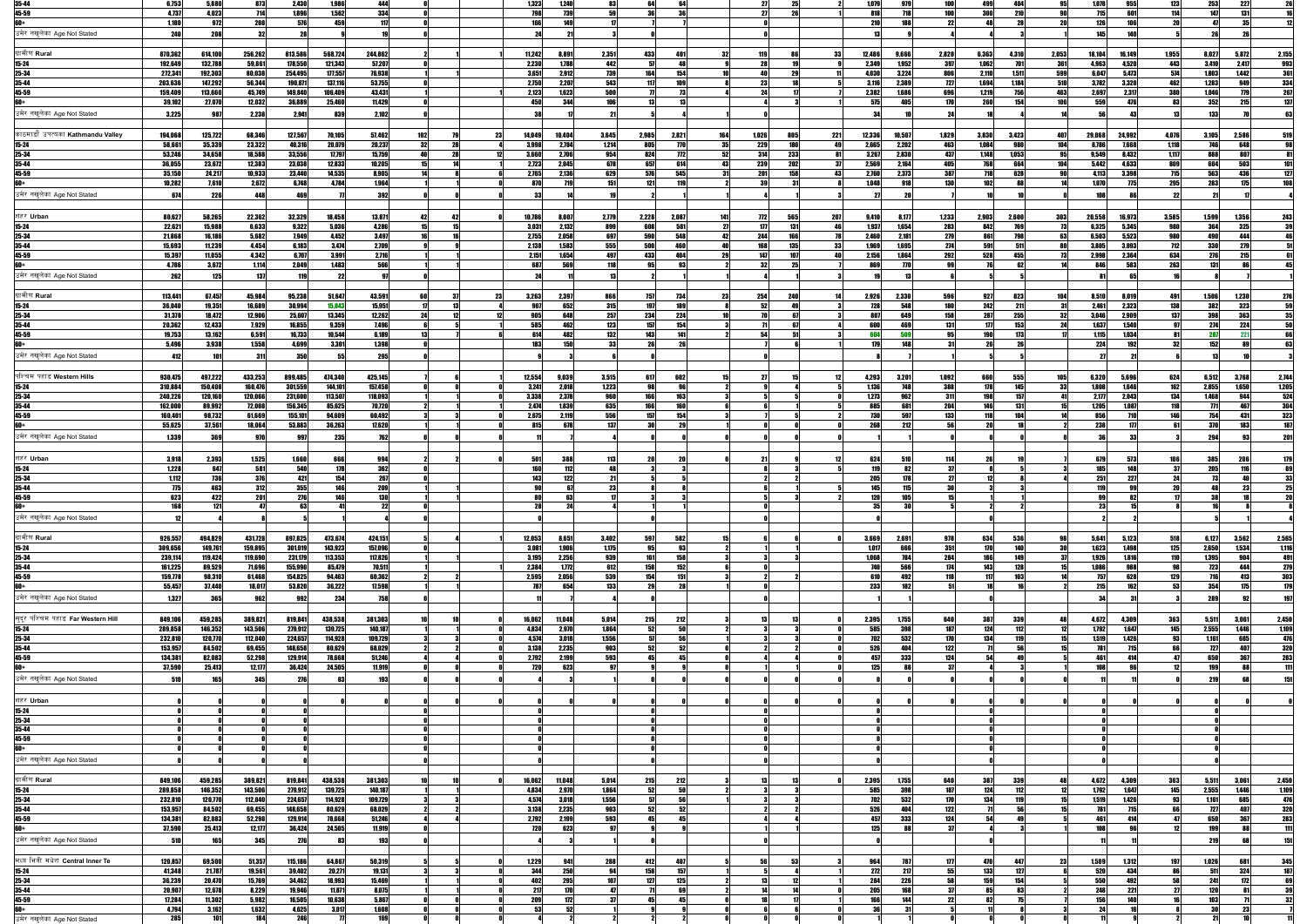| 35-44                             | 6,753      | 5,880   | 873     | 2,430      | 1,986      | 444                 |     |     |     | 1,323      | 1,240  |       |             |           |     |       | 25         |            | 1,079        | 979        | 100          | 499 <br>404       | 95               | 1,078      | 955    | 1231       | 253            | 227<br>26                                               |
|-----------------------------------|------------|---------|---------|------------|------------|---------------------|-----|-----|-----|------------|--------|-------|-------------|-----------|-----|-------|------------|------------|--------------|------------|--------------|-------------------|------------------|------------|--------|------------|----------------|---------------------------------------------------------|
| 45-59                             | 4,737      | 4,023   | 714     | 1,896      | 1,562      | 334                 |     |     |     | 798        | 739    |       |             | 36        |     |       | 26         |            | 818          | 718        | 100          | <b>300</b><br>210 | <b>QN</b>        | 715        | 601    | 114        | 147            | 131                                                     |
|                                   | 1,180      | 972     | 208     | 576        | 459        | 117                 |     |     |     | 166        | 110    |       |             |           |     |       |            |            | 210          | 188        | 22           |                   |                  | 126        | 106    |            |                |                                                         |
|                                   |            |         |         |            |            |                     |     |     |     |            |        |       |             |           |     |       |            |            |              |            |              |                   |                  |            |        |            |                |                                                         |
| उमेर नखुलेका Age Not Stated       | <b>240</b> |         |         |            |            |                     |     |     |     |            |        |       |             |           |     |       |            |            |              |            |              |                   |                  | 145        |        |            |                |                                                         |
|                                   |            |         |         |            |            |                     |     |     |     |            |        |       |             |           |     |       |            |            |              |            |              |                   |                  |            |        |            |                |                                                         |
| ग्रामीण Rural                     | 870,362    | 614,100 | 256,262 | 813,586    | 568,724    | 244,862             |     |     |     | 11,242     | 8,891  | 2,351 | 4331        |           | 32  | 119   |            |            | 12,486       | 9,666      | 2,820        | 6,363<br>4,310    | 2,053            | 18,104     | 16.149 | 1,955      | 5,872<br>8,027 | 2,155                                                   |
| 15-24                             | 192,649    | 132,788 | 59,861  | 178,550    | 121,343    | 57,207              |     |     |     | 2,230      | 1,788  | 442   |             | <b>AR</b> |     |       |            |            | 2,349        | 1,952      | 397          | 1,062             | <b>361</b>       | 4,963      | 4,520  | 443        | 3,410<br>2,417 | 993                                                     |
|                                   | 272,341    |         |         |            |            | 76,938              |     |     |     | 3,651      | 2.912  | 739   |             | 154       |     |       |            |            | 4.030        |            | 80           | 1.511             | 599              | 6,047      | 5.473  | 574        | 1.803          |                                                         |
| 25-34                             |            | 192,303 | 80,038  | 254,495    | 177,557    |                     |     |     |     |            |        |       |             |           |     |       |            |            |              | 3,224      |              | <b>2,110</b>      |                  |            |        |            | 1,442          | 361                                                     |
| 35-44                             | 203,636    | 147,292 | 56,344  | 190,871    | 137,116    | 53,755              |     |     |     | 2,750      | 2,207  | 543   |             |           |     |       |            |            | <b>3.116</b> | 2.389      | 727          | 1.694<br>1.184    | <b>510</b>       | 3,782      | 3,320  | 462        | 1.2831         | 334<br>949                                              |
| 45-59                             | 159,409    | 113,660 | 45,749  | 149,840    | 106,409    | 43,431              |     |     |     | 2,123      | 1.623  | 500   |             |           |     |       |            |            | 2,382        | 1.686      | 69           | 1.219             | 463              | 2,697      | 2,317  | 380        | 1.046          | 267                                                     |
|                                   | 39,102     | 27,070  | 12,032  | 36,889     | 25,460     | 11,429              |     |     |     | 450        | 344    |       |             |           |     |       |            |            | 575          |            |              | 260<br>15/        | 106l             | 559        | A76    |            | 352            |                                                         |
|                                   |            |         |         |            |            |                     |     |     |     |            |        |       |             |           |     |       |            |            |              |            |              |                   |                  |            |        |            |                |                                                         |
| उमेर नखुलेका Age Not Stated       | 3,225      | 987     | 2,238   | 2,941      | 8391       | 2,102               |     |     |     | -38        |        |       |             |           |     |       |            |            |              |            |              |                   |                  |            |        |            | 133            |                                                         |
|                                   |            |         |         |            |            |                     |     |     |     |            |        |       |             |           |     |       |            |            |              |            |              |                   |                  |            |        |            |                |                                                         |
| काठमाडौँ उपत्यका Kathmandu Valley |            |         |         |            |            |                     |     |     |     |            |        |       |             |           |     |       |            |            |              |            |              |                   |                  |            |        |            |                |                                                         |
|                                   | 194,068    | 125,722 | 68,346  | 127,567    | 70,105     | 57,462              | 102 |     | 231 | 14,049     | 10,404 | 3,645 | 2,985       | 2,821     | 164 | 1,026 | 805        | 221        | 12,336       | 10,507     | 1,829        | 3,830<br>3,423    | 407              | 29,068     | 24,992 | 4,076      | 3,105<br>2,586 | 519                                                     |
| $15 - 24$                         | 58,661     | 35,339  | 23,322  | 40,316     | 20,079     | 20,237              |     |     |     | 3,998      | 2,784  | 1,214 |             | 70        |     | 229   | 180        |            | 2,665        | 2,202      | 463          | 1,084             |                  | 8,786      | 7,668  | 1,118      |                | 648                                                     |
| 25-34                             | 53,246     | 34,658  | 18,588  | 33,556     | 17,797     | 15,759              |     |     |     | 3,660      | 2.706  | 954   | 824         | 772       | 52  | 314   | 233        |            | 3.267        | 2.830      | 437          | 1.148<br>1,053    |                  | 9,549      | 8.432  | 1.117      | RRI            |                                                         |
| 35-44                             | 36,055     | 23,672  | 12,383  | 23,038     | 12,833     | 10,205              |     |     |     | 2,723      | 2.045  | 678   |             | 614       |     | 239   | 202        |            | 2.569        | 2.164      | 405          |                   |                  | 5.442      | 4.633  | 809        |                |                                                         |
| 45-59                             | 35,150     | 24,217  | 10,933  | 23,440     | 14,535     | 8,905               |     |     |     |            | 2.136  | 629   |             | 545       |     |       | 158        |            | 2.760        | 2.373      | 387          |                   |                  | 4.113      | 3.398  | 715        | 563            |                                                         |
|                                   |            |         |         |            |            |                     |     |     |     | 2,765      |        |       |             |           |     |       |            |            |              |            |              |                   |                  |            |        |            |                |                                                         |
|                                   | 10,282     | 7,610   | 2,672   | 6,748      | 4,784      | 1,964               |     |     |     | 870        |        |       |             |           |     |       |            |            | 1.048        |            | 130          |                   |                  | 1,070      | 775    | 295        | 283            | 175                                                     |
| उमेर नखुलेका Age Not Stated       | 674        | 226     | 448     | 469        |            | 392                 |     |     |     | -33        |        |       |             |           |     |       |            |            |              |            |              |                   |                  | 108        |        |            |                |                                                         |
|                                   |            |         |         |            |            |                     |     |     |     |            |        |       |             |           |     |       |            |            |              |            |              |                   |                  |            |        |            |                |                                                         |
|                                   |            |         |         |            |            |                     |     |     |     |            |        |       |             |           |     |       |            |            |              |            |              |                   |                  |            |        |            |                |                                                         |
| शहर Urban                         | 80,627     | 58,265  | 22,362  | 32,329     | 18,458     | 13,871              |     |     |     | 10,786     | 8,007  | 2,779 | 2,228       | 2,087     | 141 |       | 565        | <b>207</b> | 9,410        | 8.177      | <u>1,233</u> | 2,903<br>2,600    | 303              | 20,558     | 16,973 | 3,585      | 1,356<br>1,599 | 243                                                     |
| 15-24                             | 22,621     | 15,988  | 6,633   | 9,322      | 5,036      | 4,286               |     |     |     | 3,031      | 2,132  | 899   |             | 581       |     |       | 131        |            | 1,937        | 1,654      | 283          | 842               |                  | 6,325      | 5,345  | 980        | 364            | 325                                                     |
| 25-34                             | 21,868     | 16,186  | 5,682   | 7,949      | 4,452      | 3,497               |     |     |     | 2,755      | 2,058  | 697   | 590         | 548       | 42  | 244   | <b>166</b> |            | 2.460        | 2,181      | 279          | 861               |                  | 6,503      | 5,523  | <b>980</b> |                | 444                                                     |
|                                   |            |         |         |            |            |                     |     |     |     |            |        |       |             |           |     |       |            | 33         |              |            |              |                   |                  |            |        |            |                |                                                         |
| 35-44                             | 15,693     | 11,239  | 4,454   | 6,183      | 3,474      | 2,709               |     |     |     | 2,138      | 1.583  | 555   | <b>500l</b> | 46N I     |     | 168   | 135        |            | 1.969        | 1.695      | 274          | 591               |                  | 3,805      | 3.093  | <b>712</b> | <b>330</b>     | 2791                                                    |
| 45-59                             | 15,397     | 11,055  | 4,342   | 6.707      | 3,991      | 2,716               |     |     |     | 2,151      | 1.654  | AQ)   | 433         |           |     | 117   | 107        |            | 2.156        | 1.864      | 292          | 528<br>455        |                  | 2,998      | 2,364  | 634        |                | 215                                                     |
|                                   | 4,786      | 3,672   | 1,114   | 2,049      | 1,483      | 566                 |     |     |     | 687        | 569    |       |             |           |     |       |            |            | 869          |            |              |                   |                  | RAƘ        | 583    | 263        |                |                                                         |
| उमेर नखुलेका Age Not Stated       |            |         |         |            |            |                     |     |     |     |            |        |       |             |           |     |       |            |            |              |            |              |                   |                  |            |        |            |                |                                                         |
|                                   | 262        | 125     | 137     |            |            |                     |     |     |     |            |        |       |             |           |     |       |            |            |              |            |              |                   |                  |            |        |            |                |                                                         |
|                                   |            |         |         |            |            |                     |     |     |     |            |        |       |             |           |     |       |            |            |              |            |              |                   |                  |            |        |            |                |                                                         |
| ।ग्रामीण <b>Rural</b>             | 113,441    | 67,457  | 45,984  | 95,238     | 51,647     | 43,591              |     |     | 23  | 3,263      | 2,397  | 866   | 7571        |           | 23  | 254   | 240        |            | 2,926        | 2.330      | 596          | 9271<br>823       | 104              | 8,510      | 8.019  | 49         | 1,506<br>1,230 | 276                                                     |
| 15-24                             | 36,040     | 19,351  | 16,689  | 30,994     | 15,043     | 15,951              |     | -13 |     | 967        | 652    | 315   | 197         | 189       |     | -52   |            |            | <b>728</b>   | 548        | 180          | 242<br>211        |                  | 2,461      | 2.323  | 138        | 382            | 323                                                     |
|                                   |            |         |         |            |            |                     |     |     |     |            | 64     |       |             |           |     |       | 67         |            | 807          |            |              |                   |                  |            |        | 137        |                |                                                         |
| 25-34                             | 31,378     | 18,472  | 12,906  | 25,607     | 13,345     | 12,262              |     | -12 |     | 905 l      |        | 257   | 234         | 224       |     |       |            |            |              | 649        | 158          | 287<br>255        |                  | 3,046      | 2,909  |            | 398            | 363                                                     |
| 35-44                             | 20,362     | 12,433  | 7,929   | 16,855     | 9,359      | 7.496               |     |     |     | 5851       |        | 123   | 157         | 154       |     |       | 67         |            | 600          | 469        | 131          | 177<br>153        |                  | 1,637      | 1.540  |            | 274            | <b>224</b>                                              |
| 45-59                             | 19,753     | 13,162  | 6,591   | 16,733     | 10,544     | 6,189               |     |     |     | 614        | AR'    |       |             |           |     |       |            |            | <b>GNA</b>   |            |              | 179               |                  | 1.115      | 1.034  |            |                |                                                         |
| 60+                               | 5,496      | 3,938   | 1,558   | 4,699      | 3,301      | 1,398               |     |     |     | 183        |        |       |             |           |     |       |            |            | 179          | 148        |              |                   |                  | 224        | 192    |            | 152            |                                                         |
|                                   |            |         |         |            |            |                     |     |     |     |            |        |       |             |           |     |       |            |            |              |            |              |                   |                  |            |        |            |                |                                                         |
| उमेर नखुलेका Age Not Stated       | 412        | 101     | -311    | <b>350</b> | 55         | 295                 |     |     |     |            |        |       |             |           |     |       |            |            |              |            |              |                   |                  |            |        |            |                |                                                         |
|                                   |            |         |         |            |            |                     |     |     |     |            |        |       |             |           |     |       |            |            |              |            |              |                   |                  |            |        |            |                |                                                         |
|                                   |            |         |         |            |            |                     |     |     |     |            |        |       |             |           |     |       |            |            |              |            |              |                   |                  |            |        |            |                |                                                         |
| पश्चिम पहाड Western Hills         | 930,475    | 497,222 | 433,253 | 899,485    | 474,340    | 425,145             |     |     |     | 12,554     | 9.039  | 3,515 | -617        | 602       |     |       |            |            | 4,293        | 3,201      | 1,092        | 555<br>66N I      | 105 <sub>1</sub> | 6,320      | 5.696  | 624        | 3,768<br>6.512 | $\frac{2,144}{1,205}$                                   |
| $15 - 24$                         | 310,884    | 150,408 | 160,476 | 301,559    | 144,101    | 157,458             |     |     |     | 3,241      | 2,018  | 1,223 |             |           |     |       |            |            | 1.136        | <b>748</b> | 388          | 178<br>145        |                  | 1,808      |        | 16         | 1,650<br>2.855 |                                                         |
| 25-34                             | 240,226    | 120,160 | 120,066 | 231,600    | 113,507    | 118,093             |     |     |     | 3,338      | 2,378  | 960   |             | 163       |     |       |            |            | 1.273        | 962        | 311          |                   |                  | 2,177      | 2.043  | 134        | 1.468          |                                                         |
| 35-44                             | 162,000    | 89,992  | 72,008  | 156,345    | 85,625     | 70,720              |     |     |     | 2.474      | 1.839  | 635   |             |           |     |       |            |            | 885          | 681        | 204          |                   |                  | 1,205      | 1.087  |            | 771            | $\begin{array}{r}\n 524 \\ \hline\n 304\n \end{array}$  |
|                                   |            |         |         |            |            |                     |     |     |     |            |        |       |             |           |     |       |            |            |              |            |              |                   |                  |            |        |            |                | 323                                                     |
| 45-59                             | 160,401    | 98,732  | 61,669  | 155,101    | 94,609     | 60,492              |     |     |     | 2,675      | 2.119  | 556   |             | 154       |     |       |            |            |              | 597        | 133          | 118               |                  | 856        |        |            |                |                                                         |
|                                   | 55,625     | 37,561  | 18,064  | 53,883     | 36,263     | 17,620              |     |     |     | 815        | 67     |       |             |           |     |       |            |            | 268          | 212        | 56           |                   |                  | 238        |        |            |                | 187                                                     |
| उमेर नखलेका Age Not Stated        | 1,339      |         | 970     | 997        | <b>235</b> | 762                 |     |     |     |            |        |       |             |           |     |       |            |            |              |            |              |                   |                  |            |        |            |                | 201                                                     |
|                                   |            |         |         |            |            |                     |     |     |     |            |        |       |             |           |     |       |            |            |              |            |              |                   |                  |            |        |            |                |                                                         |
|                                   |            |         |         |            |            |                     |     |     |     |            |        |       |             |           |     |       |            |            |              |            |              |                   |                  |            |        |            |                |                                                         |
| शहर Urban                         | 3,918      | 2,393   | 1,525   | 1,660      | 6661       | 994                 |     |     |     | 501        | 388    | 113   |             |           |     |       |            |            | 624          | 510        | 114          |                   |                  | 679        | 573    |            | <b>385</b>     | 179                                                     |
| 15-24                             | 1,228      | 647     | 581     | 540        | 178        | 362                 |     |     |     | 160        |        |       |             |           |     |       |            |            |              | 82         | 37           |                   |                  | <b>185</b> |        |            | 205            |                                                         |
| 25-34                             | 1,112      | 736     | 376     | 421        | 154        | 267                 |     |     |     | 143        | 122    |       |             |           |     |       |            |            | 205          |            | 27           |                   |                  | 251        | 227    |            |                | 33                                                      |
|                                   |            |         |         |            |            |                     |     |     |     |            |        |       |             |           |     |       |            |            |              |            |              |                   |                  |            |        |            |                |                                                         |
| 35-44                             | 775        | 463     | 312     | 355        | 146        | 209                 |     |     |     |            |        |       |             |           |     |       |            |            | 145          |            |              |                   |                  | 119        |        |            |                | 25                                                      |
| 45-59                             | 623        | 422     | 201     | <b>276</b> | 146        | <b>130</b>          |     |     |     | 80         |        |       |             |           |     |       |            |            | 120          |            |              |                   |                  |            |        |            |                |                                                         |
|                                   | 168        | 121     |         |            |            | 22                  |     |     |     | 28         |        |       |             |           |     |       |            |            | 35           |            |              |                   |                  | 23         |        |            |                |                                                         |
| उमेर नखुलेका Age Not Stated       |            |         |         |            |            |                     |     |     |     |            |        |       |             |           |     |       |            |            |              |            |              |                   |                  |            |        |            |                |                                                         |
|                                   |            |         |         |            |            |                     |     |     |     |            |        |       |             |           |     |       |            |            |              |            |              |                   |                  |            |        |            |                |                                                         |
|                                   |            |         |         |            |            |                     |     |     |     |            |        |       |             |           |     |       |            |            |              |            |              |                   |                  |            |        |            |                |                                                         |
| ग्रामीण Rural                     | 926,557    | 494,829 | 431,728 | 897,825    | 473,674    | 424,151             |     |     |     | 12,053     | 8,651  | 3,402 | 597         | 582       |     |       |            |            | 3,669        | 2,691      | 978          | 634<br>536        | 98               | 5,641      | 5.123  | 518        | 3,562<br>6.127 | 2,565                                                   |
| 15-24                             | 309,656    | 149,761 | 159,895 | 301,019    | 143,923    | 157,096             |     |     |     | 3,081      | 1.906  | 1,175 | 95          | 93        |     |       |            |            | 1,017        | 666        | 351          | 170<br>140        | 30               | 1,623      | 1.498  | 125        | 1,534<br>2,650 | 1,116                                                   |
| 25-34                             | 239,114    | 119,424 | 119,690 | 231,179    | 113,353    | 117,826             |     |     |     | 3,195      | 2,256  | 939   | 161         | 158       |     |       |            |            | 1,068        | <b>784</b> | 284          | <b>186</b><br>149 |                  | 1,926      | 1.816  | 110        | 1.395          | 491<br>904                                              |
|                                   |            |         |         |            |            |                     |     |     |     |            |        |       |             |           |     |       |            |            |              |            |              |                   |                  |            |        |            |                |                                                         |
| 35-44                             | 161,225    | 89,529  | 71,696  | 155,990    | 85,479     | 70,511              |     |     |     | 2,384      | 1,772  | 612   | 158         | 152       |     |       |            |            | <b>740</b>   | 566        | 174          | 143<br>128        |                  | 1,086      | 988    |            | 723            | 279                                                     |
| 45-59                             | 159,778    | 98,310  | 61,468  | 154,825    | 94,463     | 60,362              |     |     |     | 2,595      | 2,056  | 539   | 154         | 151       |     |       |            |            | 610          | 492        |              | 117<br>109        |                  | 757        | 628    | 129        | 716            | 303<br>413                                              |
|                                   | 55,457     | 37,440  | 18,017  | 53,820     | 36,222     | 17,598              |     |     |     | <b>787</b> | 654    | 133   |             |           |     |       |            |            | 233          |            |              |                   |                  | 215        | 169    |            | 354            | 179<br>175                                              |
| उमेर नखुलेका Age Not Stated       |            |         |         |            |            |                     |     |     |     |            |        |       |             |           |     |       |            |            |              |            |              |                   |                  |            |        |            |                |                                                         |
|                                   | 1,327      | 365     | 962     | 992        | 234        | 758                 |     |     |     |            |        |       |             |           |     |       |            |            |              |            |              |                   |                  |            |        |            | <b>289</b>     | 197                                                     |
|                                   |            |         |         |            |            |                     |     |     |     |            |        |       |             |           |     |       |            |            |              |            |              |                   |                  |            |        |            |                |                                                         |
| सदुर पश्चिम पहाड Far Western Hill | 849,106    | 459,285 | 389,821 | 819,841    | 438,538    | 381,303             |     |     |     | 16,062     | 11,048 | 5,014 | 215         | 2121      |     |       |            |            | 2,395        | 1,755      | 640          | 339<br>387        |                  | 4,672      | 4,309  | 363        | 3,061<br>5,511 | 2,450                                                   |
|                                   | 289,858    |         | 143,506 | 279,912    | 139,725    | 140,187             |     |     |     |            |        | 1,864 | 52          | 50        |     |       |            |            | 585          | 398        | 187          | 124               |                  | 1,792      | 1,647  | 145        | 2,555<br>1,446 |                                                         |
| 15-24                             |            | 146,352 |         |            |            |                     |     |     |     | 4,834      | 2,970  |       |             |           |     |       |            |            |              |            |              |                   |                  |            |        |            |                | 1,109<br>476                                            |
| 25-34                             | 232,810    | 120,770 | 112,040 | 224,657    | 114,928    | 109,729             |     |     |     | 4,574      | 3,018  | 1,556 |             | 56        |     |       |            |            | 702          | 532        | 170          | 134               |                  | 1.519      | 1,426  |            | 1.161          | 685 I                                                   |
| 35-44                             | 153,957    | 84,502  | 69,455  | 148,658    | 80,629     | 68,029              |     |     |     | 3,138      | 2,235  | 903   |             |           |     |       |            |            | 526          | ANA        | 122          |                   |                  | 781        | 71:    |            | 797            | 320                                                     |
| 45-59                             | 134,381    | 82,083  | 52,298  | 129,914    | 78,668     | 51,246              |     |     |     | 2,792      | 2,199  | 593   |             |           |     |       |            |            | 457          | 333        | 12l          |                   |                  | A61        | 41     |            | 651            | 283                                                     |
|                                   | 37,590     | 25,413  | 12,177  | 36,424     | 24,505     | 11,919              |     |     |     | <b>720</b> | 62     |       |             |           |     |       |            |            | 125          |            |              |                   |                  |            |        |            |                |                                                         |
|                                   |            |         |         |            |            |                     |     |     |     |            |        |       |             |           |     |       |            |            |              |            |              |                   |                  |            |        |            |                |                                                         |
| उमेर नखुलेका Age Not Stated       | 510        | 165     | 345     | 276        |            | <b>193</b>          |     |     |     |            |        |       |             |           |     |       |            |            |              |            |              |                   |                  |            |        |            | 219            | 151                                                     |
|                                   |            |         |         |            |            |                     |     |     |     |            |        |       |             |           |     |       |            |            |              |            |              |                   |                  |            |        |            |                |                                                         |
|                                   |            |         |         |            |            |                     |     |     |     |            |        |       |             |           |     |       |            |            |              |            |              |                   |                  |            |        |            |                |                                                         |
| शहर Urban                         |            |         |         |            |            |                     |     |     |     |            |        |       |             |           |     |       |            |            |              |            |              |                   |                  |            |        |            |                |                                                         |
| $15 - 24$                         |            |         |         |            |            |                     |     |     |     |            |        |       |             |           |     |       |            |            |              |            |              |                   |                  |            |        |            |                |                                                         |
| 25-34                             |            |         |         |            |            |                     |     |     |     |            |        |       |             |           |     |       |            |            |              |            |              |                   |                  |            |        |            |                |                                                         |
| 35-44                             |            |         |         |            |            |                     |     |     |     |            |        |       |             |           |     |       |            |            |              |            |              |                   |                  |            |        |            |                |                                                         |
| 45-59                             |            |         |         |            |            |                     |     |     |     |            |        |       |             |           |     |       |            |            |              |            |              |                   |                  |            |        |            |                |                                                         |
|                                   |            |         |         |            |            |                     |     |     |     |            |        |       |             |           |     |       |            |            |              |            |              |                   |                  |            |        |            |                |                                                         |
| 60+                               |            |         |         |            |            |                     |     |     |     |            |        |       |             |           |     |       |            |            |              |            |              |                   |                  |            |        |            |                |                                                         |
| उमेर नखुलेका Age Not Stated       |            |         |         |            |            |                     |     |     |     |            |        |       |             |           |     |       |            |            |              |            |              |                   |                  |            |        |            |                |                                                         |
|                                   |            |         |         |            |            |                     |     |     |     |            |        |       |             |           |     |       |            |            |              |            |              |                   |                  |            |        |            |                |                                                         |
|                                   |            |         |         |            |            |                     |     |     |     |            |        |       |             |           |     |       |            |            |              |            |              |                   |                  |            |        |            |                |                                                         |
| ग्रामीण Rural                     | 849,106    | 459,285 | 389,821 | 819,841    | 438,538    | 381,303             |     |     |     | 16,062     | 11,048 | 5,014 | 215         | 2121      |     |       |            |            | 2,395        | 1,755      | 640          | 387<br>339        |                  | 4,672      | 4,309  | 363        | 5,511<br>3.061 | 2,450                                                   |
| $15 - 24$                         | 289,858    | 146,352 | 143,506 | 279,912    | 139,725    | 140,187             |     |     |     | 4,834      | 2,970  | 1,864 | -52         | 50        |     |       |            |            | 585          | 398        | 187          | 124<br>112        |                  | 1,792      | 1,647  | 145        | 2,555<br>1,446 | 1,109                                                   |
| 25-34                             | 232,810    | 120,770 | 112,040 | 224,657    | 114,928    | 109,729             |     |     |     | 4,574      | 3,018  | 1,556 |             | 56        |     |       |            |            | 702          | 532        | 170          | 134<br>119        |                  | 1,519      | 1,426  |            | 1,161<br>6851  | 476                                                     |
| $35 - 44$                         | 153,957    | 84,502  | 69,455  | 148,658    | 80,629     | 68,029              |     |     |     | 3,138      | 2,235  | 903   | 52          | 52        |     |       |            |            | 526          | 404        | 122          |                   |                  | 781        | 715    |            | 797            | 320                                                     |
|                                   |            |         |         |            |            |                     |     |     |     |            |        |       |             |           |     |       |            |            |              |            |              |                   |                  |            |        |            |                |                                                         |
| 45-59                             | 134,381    | 82,083  | 52,298  | 129,914    | 78,668     | 51,246              |     |     |     | 2,792      | 2,199  | 593   |             |           |     |       |            |            | 457          | 333        | 124          |                   |                  | 461        | 414    |            | 650            | 283                                                     |
| 60+                               | 37,590     | 25,413  | 12,177  | 36,424     | 24,505     | 11,919              |     |     |     | 720        | 623    |       |             |           |     |       |            |            | 125          | 88         | 37           |                   |                  | <b>108</b> |        |            | 190            | 111                                                     |
| उमेर नखलेका Age Not Stated        | 510        | 165     | 345     | 276        | 83         | <b>193</b>          |     |     |     |            |        |       |             |           |     |       |            |            |              |            |              |                   |                  |            |        |            | 219            | 151                                                     |
|                                   |            |         |         |            |            |                     |     |     |     |            |        |       |             |           |     |       |            |            |              |            |              |                   |                  |            |        |            |                |                                                         |
|                                   |            |         |         |            |            |                     |     |     |     |            |        |       |             |           |     |       |            |            |              |            |              |                   |                  |            |        |            |                |                                                         |
| मध्य भित्री मधेश Central Inner Te | 120,857    | 69,500  | 51,357  | 115,186    | 64,867     | 50,319              |     |     |     | 1,229      | 941    | 288   | 412         |           |     |       | 53         |            | 964          | 787        | -177         | 447               | 23               | 1,509      | 1,312  |            | 1,026          |                                                         |
| $15 - 24$                         | 41,348     | 21,787  | 19,561  | 39,402     | 20,271     | 19,131              |     |     |     | 344        | 250    |       | 158         | 157       |     |       |            |            | 272          | 217        | -55          | 133               |                  | 520        | 434    |            |                | $\begin{array}{r} 345 \\ \hline 187 \end{array}$<br>324 |
| 25-34                             | 36,239     | 20,470  | 15,769  | 34,462     | 18,993     | 15,469              |     |     |     | 402        | 295    |       | 1271        | 125       |     |       |            |            | 284          | 226        | 58           | 159<br>154        |                  | 550        | 492    |            | 241            | 172                                                     |
|                                   | 20,907     |         |         |            |            |                     |     |     |     | 211        | 170    |       |             |           |     |       |            |            |              |            | -37          |                   |                  |            |        |            | 171            |                                                         |
| $35 - 44$                         |            | 12,678  | 8,229   | 19,946     | 11,871     | 8,075               |     |     |     |            |        |       |             |           |     |       |            |            | 205          |            |              |                   |                  | 248        |        |            |                | 39                                                      |
| 45-59                             | 17,284     | 11,302  | 5,982   | 16,505     | 10,638     | 5,867               |     |     |     | 209        | 172    |       |             |           |     |       |            |            |              |            |              | 82                |                  | <b>156</b> |        |            |                | 32                                                      |
| 60+                               | 4,794      | 3,162   | 1,632   | 4,625      | 3,017      | $\frac{1,608}{169}$ |     |     |     | 53         |        |       |             |           |     |       |            |            |              |            |              |                   |                  |            |        |            |                |                                                         |
| उमेर नखुलेका Age Not Stated       | 285        | 101     | 184     | 246        |            |                     |     |     |     |            |        |       |             |           |     |       |            |            |              |            |              |                   |                  |            |        |            |                |                                                         |